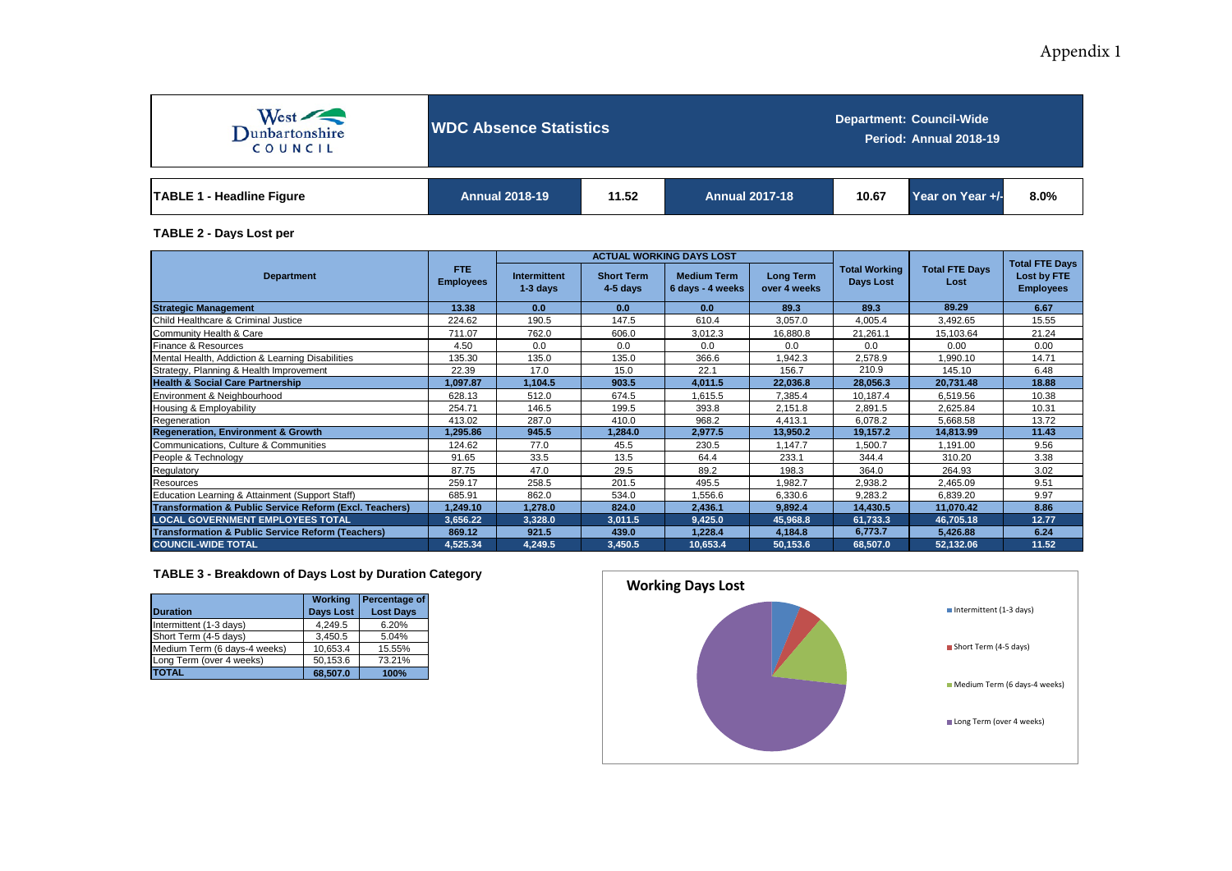## Appendix 1



**WDC Absence Statistics**

**Department: Council-Wide Period: Annual 2018-19**

| <b>TABLE</b><br><b>Headline Figure</b> | <b>Annual 2018-19</b> | 11.52 | <b>Annual 2017-18</b> | 10.67 | Year on Year +/- | 8.0% |
|----------------------------------------|-----------------------|-------|-----------------------|-------|------------------|------|
|----------------------------------------|-----------------------|-------|-----------------------|-------|------------------|------|

**TABLE 2 - Days Lost per**

|                                                                    |                          |                            |                                 | <b>ACTUAL WORKING DAYS LOST</b>        |                                  |                                   | <b>Total FTE Days</b>         |                                 |  |
|--------------------------------------------------------------------|--------------------------|----------------------------|---------------------------------|----------------------------------------|----------------------------------|-----------------------------------|-------------------------------|---------------------------------|--|
| <b>Department</b>                                                  | FTE.<br><b>Employees</b> | Intermittent<br>$1-3$ days | <b>Short Term</b><br>$4-5$ days | <b>Medium Term</b><br>6 days - 4 weeks | <b>Long Term</b><br>over 4 weeks | <b>Total Working</b><br>Days Lost | <b>Total FTE Days</b><br>Lost | Lost by FTE<br><b>Employees</b> |  |
| <b>Strategic Management</b>                                        | 13.38                    | 0.0                        | 0.0                             | 0.0                                    | 89.3                             | 89.3                              | 89.29                         | 6.67                            |  |
| Child Healthcare & Criminal Justice                                | 224.62                   | 190.5                      | 147.5                           | 610.4                                  | 3,057.0                          | 4,005.4                           | 3,492.65                      | 15.55                           |  |
| Community Health & Care                                            | 711.07                   | 762.0                      | 606.0                           | 3,012.3                                | 16,880.8                         | 21,261.1                          | 15,103.64                     | 21.24                           |  |
| Finance & Resources                                                | 4.50                     | 0.0                        | 0.0                             | 0.0                                    | 0.0                              | 0.0                               | 0.00                          | 0.00                            |  |
| Mental Health, Addiction & Learning Disabilities                   | 135.30                   | 135.0                      | 135.0                           | 366.6                                  | 1,942.3                          | 2,578.9                           | 1,990.10                      | 14.71                           |  |
| Strategy, Planning & Health Improvement                            | 22.39                    | 17.0                       | 15.0                            | 22.1                                   | 156.7                            | 210.9                             | 145.10                        | 6.48                            |  |
| <b>Health &amp; Social Care Partnership</b>                        | 1,097.87                 | 1,104.5                    | 903.5                           | 4,011.5                                | 22,036.8                         | 28,056.3                          | 20,731.48                     | 18.88                           |  |
| Environment & Neighbourhood                                        | 628.13                   | 512.0                      | 674.5                           | 1.615.5                                | 7.385.4                          | 10.187.4                          | 6.519.56                      | 10.38                           |  |
| Housing & Employability                                            | 254.71                   | 146.5                      | 199.5                           | 393.8                                  | 2,151.8                          | 2,891.5                           | 2,625.84                      | 10.31                           |  |
| Regeneration                                                       | 413.02                   | 287.0                      | 410.0                           | 968.2                                  | 4.413.1                          | 6,078.2                           | 5,668.58                      | 13.72                           |  |
| <b>Regeneration, Environment &amp; Growth</b>                      | 1,295.86                 | 945.5                      | 1,284.0                         | 2,977.5                                | 13,950.2                         | 19,157.2                          | 14,813.99                     | 11.43                           |  |
| Communications, Culture & Communities                              | 124.62                   | 77.0                       | 45.5                            | 230.5                                  | 1,147.7                          | 1,500.7                           | 1,191.00                      | 9.56                            |  |
| People & Technology                                                | 91.65                    | 33.5                       | 13.5                            | 64.4                                   | 233.1                            | 344.4                             | 310.20                        | 3.38                            |  |
| Regulatory                                                         | 87.75                    | 47.0                       | 29.5                            | 89.2                                   | 198.3                            | 364.0                             | 264.93                        | 3.02                            |  |
| Resources                                                          | 259.17                   | 258.5                      | 201.5                           | 495.5                                  | 1,982.7                          | 2,938.2                           | 2,465.09                      | 9.51                            |  |
| Education Learning & Attainment (Support Staff)                    | 685.91                   | 862.0                      | 534.0                           | 1,556.6                                | 6,330.6                          | 9,283.2                           | 6,839.20                      | 9.97                            |  |
| <b>Transformation &amp; Public Service Reform (Excl. Teachers)</b> | 1,249.10                 | 1,278.0                    | 824.0                           | 2,436.1                                | 9,892.4                          | 14,430.5                          | 11,070.42                     | 8.86                            |  |
| <b>LOCAL GOVERNMENT EMPLOYEES TOTAL</b>                            | 3,656.22                 | 3,328.0                    | 3,011.5                         | 9,425.0                                | 45,968.8                         | 61,733.3                          | 46,705.18                     | 12.77                           |  |
| <b>Transformation &amp; Public Service Reform (Teachers)</b>       | 869.12                   | 921.5                      | 439.0                           | 1,228.4                                | 4,184.8                          | 6,773.7                           | 5,426.88                      | 6.24                            |  |
| <b>COUNCIL-WIDE TOTAL</b>                                          | 4,525.34                 | 4,249.5                    | 3,450.5                         | 10,653.4                               | 50,153.6                         | 68,507.0                          | 52,132.06                     | 11.52                           |  |

## **TABLE 3 - Breakdown of Days Lost by Duration Category**

| <b>Duration</b>              | Working<br><b>Days Lost</b> | Percentage of<br><b>Lost Days</b> |
|------------------------------|-----------------------------|-----------------------------------|
| Intermittent (1-3 days)      | 4.249.5                     | 6.20%                             |
| Short Term (4-5 days)        | 3.450.5                     | 5.04%                             |
| Medium Term (6 days-4 weeks) | 10,653.4                    | 15.55%                            |
| Long Term (over 4 weeks)     | 50,153.6                    | 73.21%                            |
| <b>TOTAL</b>                 | 68.507.0                    | 100%                              |